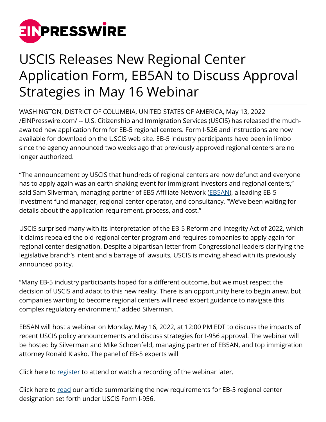

## USCIS Releases New Regional Center Application Form, EB5AN to Discuss Approval Strategies in May 16 Webinar

WASHINGTON, DISTRICT OF COLUMBIA, UNITED STATES OF AMERICA, May 13, 2022 [/EINPresswire.com/](http://www.einpresswire.com) -- U.S. Citizenship and Immigration Services (USCIS) has released the muchawaited new application form for EB-5 regional centers. Form I-526 and instructions are now available for download on the USCIS web site. EB-5 industry participants have been in limbo since the agency announced two weeks ago that previously approved regional centers are no longer authorized.

"The announcement by USCIS that hundreds of regional centers are now defunct and everyone has to apply again was an earth-shaking event for immigrant investors and regional centers," said Sam Silverman, managing partner of EB5 Affiliate Network [\(EB5AN](https://eb5affiliatenetwork.com)), a leading EB-5 investment fund manager, regional center operator, and consultancy. "We've been waiting for details about the application requirement, process, and cost."

USCIS surprised many with its interpretation of the EB-5 Reform and Integrity Act of 2022, which it claims repealed the old regional center program and requires companies to apply again for regional center designation. Despite a bipartisan letter from Congressional leaders clarifying the legislative branch's intent and a barrage of lawsuits, USCIS is moving ahead with its previously announced policy.

"Many EB-5 industry participants hoped for a different outcome, but we must respect the decision of USCIS and adapt to this new reality. There is an opportunity here to begin anew, but companies wanting to become regional centers will need expert guidance to navigate this complex regulatory environment," added Silverman.

EB5AN will host a webinar on Monday, May 16, 2022, at 12:00 PM EDT to discuss the impacts of recent USCIS policy announcements and discuss strategies for I-956 approval. The webinar will be hosted by Silverman and Mike Schoenfeld, managing partner of EB5AN, and top immigration attorney Ronald Klasko. The panel of EB-5 experts will

Click here to [register](https://attendee.gotowebinar.com/register/8372848538673846795?source=PR) to attend or watch a recording of the webinar later.

Click here to [read](https://eb5visainvestments.com/2022/05/13/new-form-i-956-for-regional-center-designation-work-with-eb5an-to-submit-your-i-956-in-weeks) our article summarizing the new requirements for EB-5 regional center designation set forth under USCIS Form I-956.